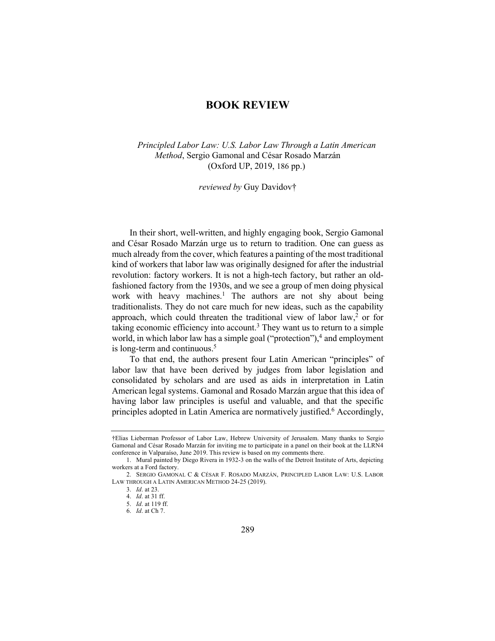# **BOOK REVIEW**

*Principled Labor Law: U.S. Labor Law Through a Latin American Method*, Sergio Gamonal and César Rosado Marzán (Oxford UP, 2019, 186 pp.)

*reviewed by* Guy Davidov†

In their short, well-written, and highly engaging book, Sergio Gamonal and César Rosado Marzán urge us to return to tradition. One can guess as much already from the cover, which features a painting of the most traditional kind of workers that labor law was originally designed for after the industrial revolution: factory workers. It is not a high-tech factory, but rather an oldfashioned factory from the 1930s, and we see a group of men doing physical work with heavy machines.<sup>1</sup> The authors are not shy about being traditionalists. They do not care much for new ideas, such as the capability approach, which could threaten the traditional view of labor law,<sup>2</sup> or for taking economic efficiency into account.3 They want us to return to a simple world, in which labor law has a simple goal ("protection"), $4$  and employment is long-term and continuous.5

To that end, the authors present four Latin American "principles" of labor law that have been derived by judges from labor legislation and consolidated by scholars and are used as aids in interpretation in Latin American legal systems. Gamonal and Rosado Marzán argue that this idea of having labor law principles is useful and valuable, and that the specific principles adopted in Latin America are normatively justified.<sup>6</sup> Accordingly,

<sup>†</sup>Elias Lieberman Professor of Labor Law, Hebrew University of Jerusalem. Many thanks to Sergio Gamonal and César Rosado Marzán for inviting me to participate in a panel on their book at the LLRN4 conference in Valparaíso, June 2019. This review is based on my comments there.

<sup>1.</sup> Mural painted by Diego Rivera in 1932-3 on the walls of the Detroit Institute of Arts, depicting workers at a Ford factory.

<sup>2.</sup> SERGIO GAMONAL C & CÉSAR F. ROSADO MARZÁN, PRINCIPLED LABOR LAW: U.S. LABOR LAW THROUGH A LATIN AMERICAN METHOD 24-25 (2019).

<sup>3.</sup> *Id*. at 23.

<sup>4.</sup> *Id*. at 31 ff.

<sup>5.</sup> *Id*. at 119 ff.

<sup>6.</sup> *Id*. at Ch 7.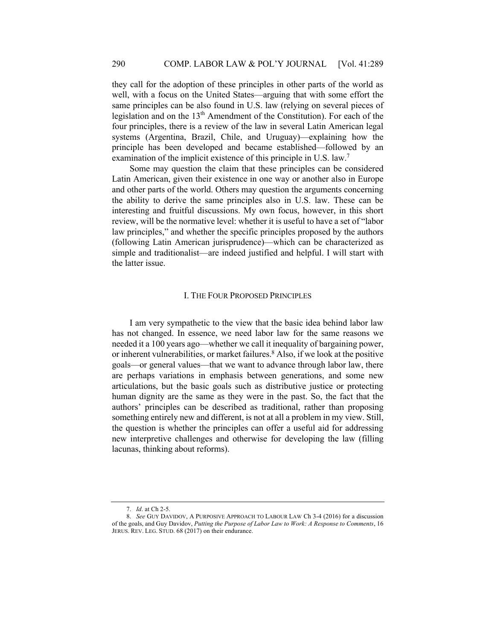they call for the adoption of these principles in other parts of the world as well, with a focus on the United States—arguing that with some effort the same principles can be also found in U.S. law (relying on several pieces of legislation and on the  $13<sup>th</sup>$  Amendment of the Constitution). For each of the four principles, there is a review of the law in several Latin American legal systems (Argentina, Brazil, Chile, and Uruguay)—explaining how the principle has been developed and became established—followed by an examination of the implicit existence of this principle in U.S. law.<sup>7</sup>

Some may question the claim that these principles can be considered Latin American, given their existence in one way or another also in Europe and other parts of the world. Others may question the arguments concerning the ability to derive the same principles also in U.S. law. These can be interesting and fruitful discussions. My own focus, however, in this short review, will be the normative level: whether it is useful to have a set of "labor law principles," and whether the specific principles proposed by the authors (following Latin American jurisprudence)—which can be characterized as simple and traditionalist—are indeed justified and helpful. I will start with the latter issue.

### I. THE FOUR PROPOSED PRINCIPLES

I am very sympathetic to the view that the basic idea behind labor law has not changed. In essence, we need labor law for the same reasons we needed it a 100 years ago—whether we call it inequality of bargaining power, or inherent vulnerabilities, or market failures.<sup>8</sup> Also, if we look at the positive goals—or general values—that we want to advance through labor law, there are perhaps variations in emphasis between generations, and some new articulations, but the basic goals such as distributive justice or protecting human dignity are the same as they were in the past. So, the fact that the authors' principles can be described as traditional, rather than proposing something entirely new and different, is not at all a problem in my view. Still, the question is whether the principles can offer a useful aid for addressing new interpretive challenges and otherwise for developing the law (filling lacunas, thinking about reforms).

<sup>7.</sup> *Id*. at Ch 2-5.

<sup>8.</sup> *See* GUY DAVIDOV, A PURPOSIVE APPROACH TO LABOUR LAW Ch 3-4 (2016) for a discussion of the goals, and Guy Davidov, *Putting the Purpose of Labor Law to Work: A Response to Comments*, 16 JERUS. REV. LEG. STUD. 68 (2017) on their endurance.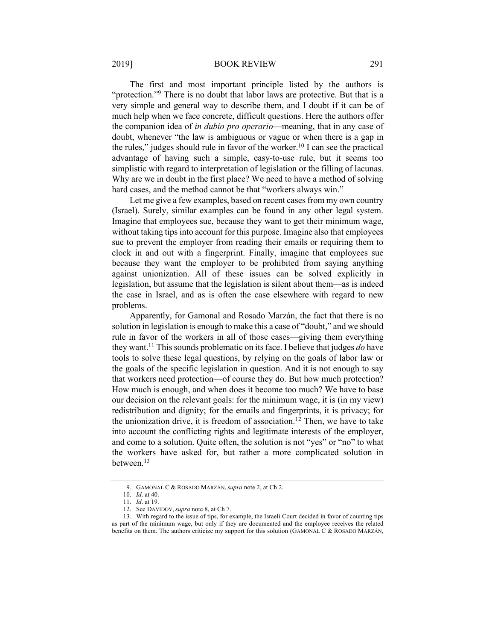#### 2019] BOOK REVIEW 291

The first and most important principle listed by the authors is "protection."<sup>9</sup> There is no doubt that labor laws are protective. But that is a very simple and general way to describe them, and I doubt if it can be of much help when we face concrete, difficult questions. Here the authors offer the companion idea of *in dubio pro operario*—meaning, that in any case of doubt, whenever "the law is ambiguous or vague or when there is a gap in the rules," judges should rule in favor of the worker.<sup>10</sup> I can see the practical advantage of having such a simple, easy-to-use rule, but it seems too simplistic with regard to interpretation of legislation or the filling of lacunas. Why are we in doubt in the first place? We need to have a method of solving hard cases, and the method cannot be that "workers always win."

Let me give a few examples, based on recent cases from my own country (Israel). Surely, similar examples can be found in any other legal system. Imagine that employees sue, because they want to get their minimum wage, without taking tips into account for this purpose. Imagine also that employees sue to prevent the employer from reading their emails or requiring them to clock in and out with a fingerprint. Finally, imagine that employees sue because they want the employer to be prohibited from saying anything against unionization. All of these issues can be solved explicitly in legislation, but assume that the legislation is silent about them—as is indeed the case in Israel, and as is often the case elsewhere with regard to new problems.

Apparently, for Gamonal and Rosado Marzán, the fact that there is no solution in legislation is enough to make this a case of "doubt," and we should rule in favor of the workers in all of those cases—giving them everything they want.11 This sounds problematic on its face. I believe that judges *do* have tools to solve these legal questions, by relying on the goals of labor law or the goals of the specific legislation in question. And it is not enough to say that workers need protection—of course they do. But how much protection? How much is enough, and when does it become too much? We have to base our decision on the relevant goals: for the minimum wage, it is (in my view) redistribution and dignity; for the emails and fingerprints, it is privacy; for the unionization drive, it is freedom of association. <sup>12</sup> Then, we have to take into account the conflicting rights and legitimate interests of the employer, and come to a solution. Quite often, the solution is not "yes" or "no" to what the workers have asked for, but rather a more complicated solution in between.13

<sup>9.</sup> GAMONAL C & ROSADO MARZÁN, *supra* note 2, at Ch 2.

<sup>10.</sup> *Id*. at 40.

<sup>11.</sup> *Id*. at 19.

<sup>12.</sup> See DAVIDOV, *supra* note 8, at Ch 7.

<sup>13.</sup> With regard to the issue of tips, for example, the Israeli Court decided in favor of counting tips as part of the minimum wage, but only if they are documented and the employee receives the related benefits on them. The authors criticize my support for this solution (GAMONAL C & ROSADO MARZÁN,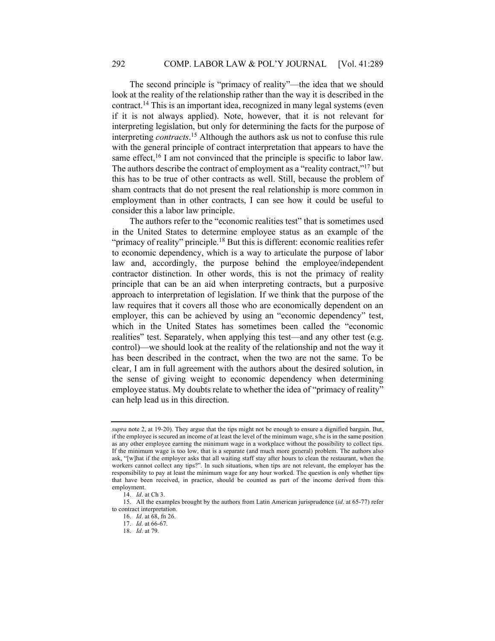The second principle is "primacy of reality"—the idea that we should look at the reality of the relationship rather than the way it is described in the contract.14 This is an important idea, recognized in many legal systems (even if it is not always applied). Note, however, that it is not relevant for interpreting legislation, but only for determining the facts for the purpose of interpreting *contracts*. <sup>15</sup> Although the authors ask us not to confuse this rule with the general principle of contract interpretation that appears to have the same effect,<sup>16</sup> I am not convinced that the principle is specific to labor law. The authors describe the contract of employment as a "reality contract,"17 but this has to be true of other contracts as well. Still, because the problem of sham contracts that do not present the real relationship is more common in employment than in other contracts, I can see how it could be useful to consider this a labor law principle.

The authors refer to the "economic realities test" that is sometimes used in the United States to determine employee status as an example of the "primacy of reality" principle.<sup>18</sup> But this is different: economic realities refer to economic dependency, which is a way to articulate the purpose of labor law and, accordingly, the purpose behind the employee/independent contractor distinction. In other words, this is not the primacy of reality principle that can be an aid when interpreting contracts, but a purposive approach to interpretation of legislation. If we think that the purpose of the law requires that it covers all those who are economically dependent on an employer, this can be achieved by using an "economic dependency" test, which in the United States has sometimes been called the "economic realities" test. Separately, when applying this test—and any other test (e.g. control)—we should look at the reality of the relationship and not the way it has been described in the contract, when the two are not the same. To be clear, I am in full agreement with the authors about the desired solution, in the sense of giving weight to economic dependency when determining employee status. My doubts relate to whether the idea of "primacy of reality" can help lead us in this direction.

*supra* note 2, at 19-20). They argue that the tips might not be enough to ensure a dignified bargain. But, if the employee is secured an income of at least the level of the minimum wage, s/he is in the same position as any other employee earning the minimum wage in a workplace without the possibility to collect tips. If the minimum wage is too low, that is a separate (and much more general) problem. The authors also ask, "[w]hat if the employer asks that all waiting staff stay after hours to clean the restaurant, when the workers cannot collect any tips?". In such situations, when tips are not relevant, the employer has the responsibility to pay at least the minimum wage for any hour worked. The question is only whether tips that have been received, in practice, should be counted as part of the income derived from this employment.

<sup>14.</sup> *Id*. at Ch 3.

<sup>15.</sup> All the examples brought by the authors from Latin American jurisprudence (*id*. at 65-77) refer to contract interpretation.

<sup>16.</sup> *Id*. at 68, fn 26.

<sup>17.</sup> *Id*. at 66-67.

<sup>18.</sup> *Id*. at 79.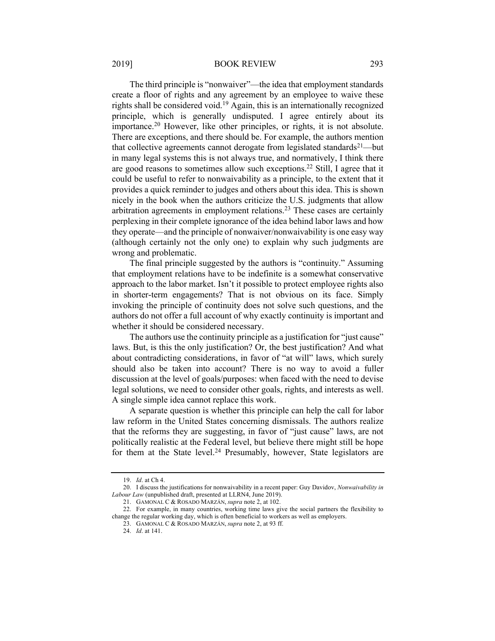#### 2019] BOOK REVIEW 293

The third principle is "nonwaiver"—the idea that employment standards create a floor of rights and any agreement by an employee to waive these rights shall be considered void.19 Again, this is an internationally recognized principle, which is generally undisputed. I agree entirely about its importance.<sup>20</sup> However, like other principles, or rights, it is not absolute. There are exceptions, and there should be. For example, the authors mention that collective agreements cannot derogate from legislated standards<sup>21</sup>—but in many legal systems this is not always true, and normatively, I think there are good reasons to sometimes allow such exceptions.22 Still, I agree that it could be useful to refer to nonwaivability as a principle, to the extent that it provides a quick reminder to judges and others about this idea. This is shown nicely in the book when the authors criticize the U.S. judgments that allow arbitration agreements in employment relations.23 These cases are certainly perplexing in their complete ignorance of the idea behind labor laws and how they operate—and the principle of nonwaiver/nonwaivability is one easy way (although certainly not the only one) to explain why such judgments are wrong and problematic.

The final principle suggested by the authors is "continuity." Assuming that employment relations have to be indefinite is a somewhat conservative approach to the labor market. Isn't it possible to protect employee rights also in shorter-term engagements? That is not obvious on its face. Simply invoking the principle of continuity does not solve such questions, and the authors do not offer a full account of why exactly continuity is important and whether it should be considered necessary.

The authors use the continuity principle as a justification for "just cause" laws. But, is this the only justification? Or, the best justification? And what about contradicting considerations, in favor of "at will" laws, which surely should also be taken into account? There is no way to avoid a fuller discussion at the level of goals/purposes: when faced with the need to devise legal solutions, we need to consider other goals, rights, and interests as well. A single simple idea cannot replace this work.

A separate question is whether this principle can help the call for labor law reform in the United States concerning dismissals. The authors realize that the reforms they are suggesting, in favor of "just cause" laws, are not politically realistic at the Federal level, but believe there might still be hope for them at the State level.<sup>24</sup> Presumably, however, State legislators are

<sup>19.</sup> *Id*. at Ch 4.

<sup>20.</sup> I discuss the justifications for nonwaivability in a recent paper: Guy Davidov, *Nonwaivability in Labour Law* (unpublished draft, presented at LLRN4, June 2019).

<sup>21.</sup> GAMONAL C & ROSADO MARZÁN, *supra* note 2, at 102.

<sup>22.</sup> For example, in many countries, working time laws give the social partners the flexibility to change the regular working day, which is often beneficial to workers as well as employers.

<sup>23.</sup> GAMONAL C & ROSADO MARZÁN, *supra* note 2, at 93 ff.

<sup>24.</sup> *Id*. at 141.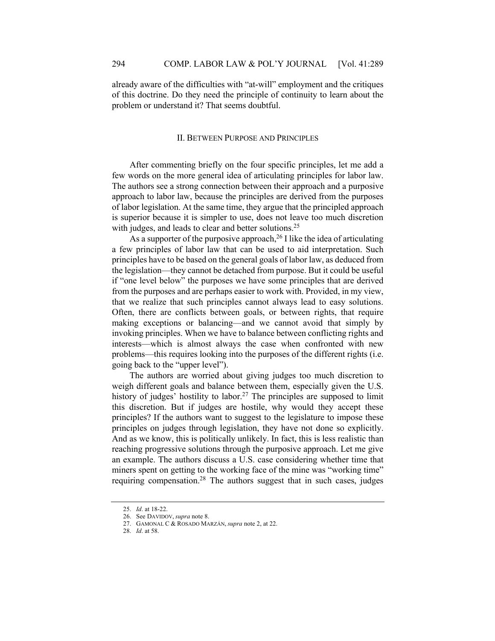already aware of the difficulties with "at-will" employment and the critiques of this doctrine. Do they need the principle of continuity to learn about the problem or understand it? That seems doubtful.

## II. BETWEEN PURPOSE AND PRINCIPLES

After commenting briefly on the four specific principles, let me add a few words on the more general idea of articulating principles for labor law. The authors see a strong connection between their approach and a purposive approach to labor law, because the principles are derived from the purposes of labor legislation. At the same time, they argue that the principled approach is superior because it is simpler to use, does not leave too much discretion with judges, and leads to clear and better solutions.<sup>25</sup>

As a supporter of the purposive approach,  $^{26}$  I like the idea of articulating a few principles of labor law that can be used to aid interpretation. Such principles have to be based on the general goals of labor law, as deduced from the legislation—they cannot be detached from purpose. But it could be useful if "one level below" the purposes we have some principles that are derived from the purposes and are perhaps easier to work with. Provided, in my view, that we realize that such principles cannot always lead to easy solutions. Often, there are conflicts between goals, or between rights, that require making exceptions or balancing—and we cannot avoid that simply by invoking principles. When we have to balance between conflicting rights and interests—which is almost always the case when confronted with new problems—this requires looking into the purposes of the different rights (i.e. going back to the "upper level").

The authors are worried about giving judges too much discretion to weigh different goals and balance between them, especially given the U.S. history of judges' hostility to labor.<sup>27</sup> The principles are supposed to limit this discretion. But if judges are hostile, why would they accept these principles? If the authors want to suggest to the legislature to impose these principles on judges through legislation, they have not done so explicitly. And as we know, this is politically unlikely. In fact, this is less realistic than reaching progressive solutions through the purposive approach. Let me give an example. The authors discuss a U.S. case considering whether time that miners spent on getting to the working face of the mine was "working time" requiring compensation.<sup>28</sup> The authors suggest that in such cases, judges

<sup>25.</sup> *Id*. at 18-22.

<sup>26.</sup> See DAVIDOV, *supra* note 8.

<sup>27.</sup> GAMONAL C & ROSADO MARZÁN, *supra* note 2, at 22.

<sup>28.</sup> *Id*. at 58.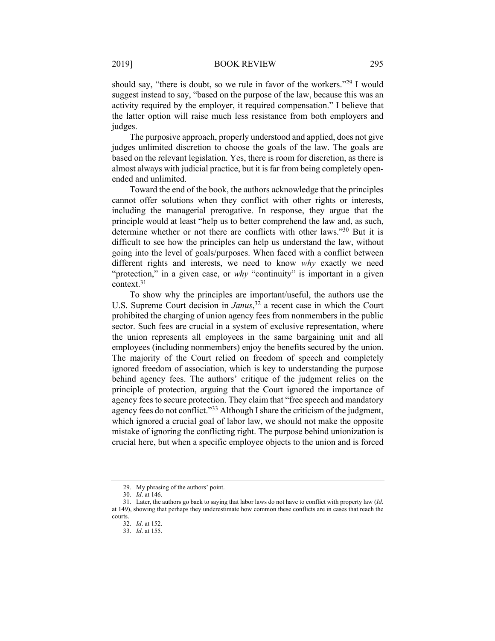should say, "there is doubt, so we rule in favor of the workers."29 I would suggest instead to say, "based on the purpose of the law, because this was an activity required by the employer, it required compensation." I believe that the latter option will raise much less resistance from both employers and judges.

The purposive approach, properly understood and applied, does not give judges unlimited discretion to choose the goals of the law. The goals are based on the relevant legislation. Yes, there is room for discretion, as there is almost always with judicial practice, but it is far from being completely openended and unlimited.

Toward the end of the book, the authors acknowledge that the principles cannot offer solutions when they conflict with other rights or interests, including the managerial prerogative. In response, they argue that the principle would at least "help us to better comprehend the law and, as such, determine whether or not there are conflicts with other laws."30 But it is difficult to see how the principles can help us understand the law, without going into the level of goals/purposes. When faced with a conflict between different rights and interests, we need to know *why* exactly we need "protection," in a given case, or *why* "continuity" is important in a given context.31

To show why the principles are important/useful, the authors use the U.S. Supreme Court decision in *Janus*, <sup>32</sup> a recent case in which the Court prohibited the charging of union agency fees from nonmembers in the public sector. Such fees are crucial in a system of exclusive representation, where the union represents all employees in the same bargaining unit and all employees (including nonmembers) enjoy the benefits secured by the union. The majority of the Court relied on freedom of speech and completely ignored freedom of association, which is key to understanding the purpose behind agency fees. The authors' critique of the judgment relies on the principle of protection, arguing that the Court ignored the importance of agency fees to secure protection. They claim that "free speech and mandatory agency fees do not conflict."<sup>33</sup> Although I share the criticism of the judgment, which ignored a crucial goal of labor law, we should not make the opposite mistake of ignoring the conflicting right. The purpose behind unionization is crucial here, but when a specific employee objects to the union and is forced

<sup>29.</sup> My phrasing of the authors' point.

<sup>30.</sup> *Id*. at 146.

<sup>31.</sup> Later, the authors go back to saying that labor laws do not have to conflict with property law (*Id*. at 149), showing that perhaps they underestimate how common these conflicts are in cases that reach the courts.

<sup>32.</sup> *Id*. at 152.

<sup>33.</sup> *Id*. at 155.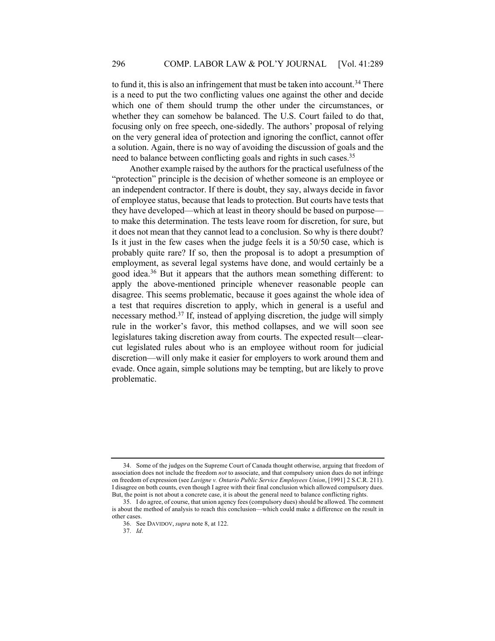to fund it, this is also an infringement that must be taken into account.<sup>34</sup> There is a need to put the two conflicting values one against the other and decide which one of them should trump the other under the circumstances, or whether they can somehow be balanced. The U.S. Court failed to do that, focusing only on free speech, one-sidedly. The authors' proposal of relying on the very general idea of protection and ignoring the conflict, cannot offer a solution. Again, there is no way of avoiding the discussion of goals and the need to balance between conflicting goals and rights in such cases.<sup>35</sup>

Another example raised by the authors for the practical usefulness of the "protection" principle is the decision of whether someone is an employee or an independent contractor. If there is doubt, they say, always decide in favor of employee status, because that leads to protection. But courts have tests that they have developed—which at least in theory should be based on purpose to make this determination. The tests leave room for discretion, for sure, but it does not mean that they cannot lead to a conclusion. So why is there doubt? Is it just in the few cases when the judge feels it is a 50/50 case, which is probably quite rare? If so, then the proposal is to adopt a presumption of employment, as several legal systems have done, and would certainly be a good idea.36 But it appears that the authors mean something different: to apply the above-mentioned principle whenever reasonable people can disagree. This seems problematic, because it goes against the whole idea of a test that requires discretion to apply, which in general is a useful and necessary method.37 If, instead of applying discretion, the judge will simply rule in the worker's favor, this method collapses, and we will soon see legislatures taking discretion away from courts. The expected result—clearcut legislated rules about who is an employee without room for judicial discretion—will only make it easier for employers to work around them and evade. Once again, simple solutions may be tempting, but are likely to prove problematic.

<sup>34.</sup> Some of the judges on the Supreme Court of Canada thought otherwise, arguing that freedom of association does not include the freedom *not* to associate, and that compulsory union dues do not infringe on freedom of expression (see *Lavigne v. Ontario Public Service Employees Union*, [1991] 2 S.C.R. 211). I disagree on both counts, even though I agree with their final conclusion which allowed compulsory dues. But, the point is not about a concrete case, it is about the general need to balance conflicting rights.

<sup>35.</sup> I do agree, of course, that union agency fees (compulsory dues) should be allowed. The comment is about the method of analysis to reach this conclusion—which could make a difference on the result in other cases.

<sup>36.</sup> See DAVIDOV, *supra* note 8, at 122.

<sup>37.</sup> *Id*.